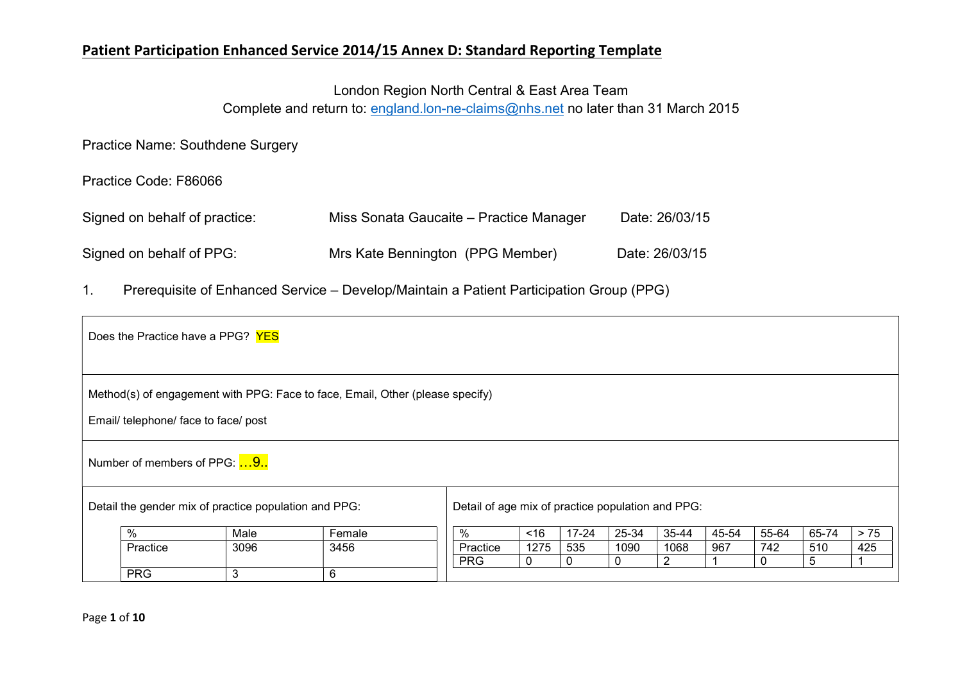# London Region North Central & East Area Team

Complete and return to: england.lon-ne-claims@nhs.net no later than 31 March 2015

Practice Name: Southdene Surgery

#### Practice Code: F86066

| Signed on behalf of practice: | Miss Sonata Gaucaite – Practice Manager | Date: 26/03/15 |
|-------------------------------|-----------------------------------------|----------------|
| Signed on behalf of PPG:      | Mrs Kate Bennington (PPG Member)        | Date: 26/03/15 |

1. Prerequisite of Enhanced Service – Develop/Maintain a Patient Participation Group (PPG)

|                     | Does the Practice have a PPG? YES                     |      |                                                                               |                                                   |             |              |          |       |       |       |       |     |
|---------------------|-------------------------------------------------------|------|-------------------------------------------------------------------------------|---------------------------------------------------|-------------|--------------|----------|-------|-------|-------|-------|-----|
|                     | Email/ telephone/ face to face/ post                  |      | Method(s) of engagement with PPG: Face to face, Email, Other (please specify) |                                                   |             |              |          |       |       |       |       |     |
|                     | Number of members of PPG: 9.                          |      |                                                                               |                                                   |             |              |          |       |       |       |       |     |
|                     | Detail the gender mix of practice population and PPG: |      |                                                                               | Detail of age mix of practice population and PPG: |             |              |          |       |       |       |       |     |
| %<br>Male<br>Female |                                                       |      | %                                                                             | ~16                                               | $17 - 24$   | 25-34        | 35-44    | 45-54 | 55-64 | 65-74 | $>75$ |     |
|                     | Practice                                              | 3096 | 3456                                                                          | Practice                                          | 1275        | 535          | 1090     | 1068  | 967   | 742   | 510   | 425 |
|                     |                                                       |      |                                                                               | <b>PRG</b>                                        | $\mathbf 0$ | $\mathbf{0}$ | $\Omega$ | 2     |       |       | 5     |     |
|                     | <b>PRG</b>                                            | 3    | 6                                                                             |                                                   |             |              |          |       |       |       |       |     |

Page 1 of 10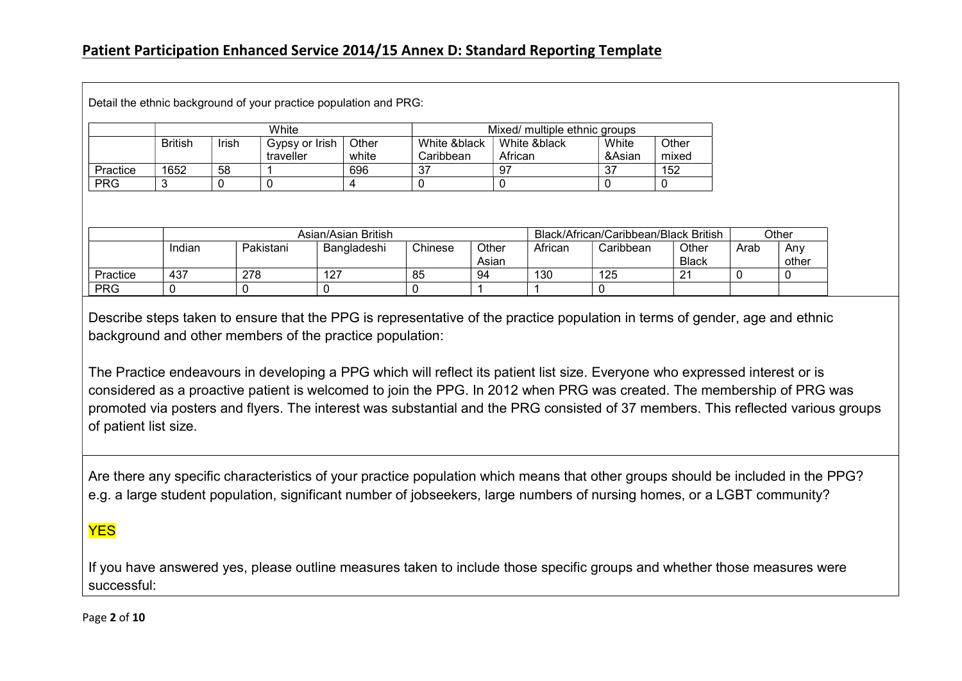PRG |0 |0 |0 |0 |1 |1 |0

|            |                | White |                             |                     |                           | Mixed/ multiple ethnic groups |              |                 |                                       |      |       |
|------------|----------------|-------|-----------------------------|---------------------|---------------------------|-------------------------------|--------------|-----------------|---------------------------------------|------|-------|
|            | <b>British</b> | Irish | Gypsy or Irish<br>traveller | Other<br>white      | White &black<br>Caribbean | African                       | White &black | White<br>&Asian | Other<br>mixed                        |      |       |
| Practice   | 1652           | 58    |                             | 696                 | -37                       | 97                            |              | 37              | 152                                   |      |       |
| <b>PRG</b> | 3              |       | 0                           | 4                   | 0                         |                               |              | 0               | 0                                     |      |       |
|            |                |       |                             |                     |                           |                               |              |                 |                                       |      |       |
|            |                |       |                             | Asian/Asian British |                           |                               |              |                 | Black/African/Caribbean/Black British |      | Other |
|            | Indian         |       | Pakistani                   | Bangladeshi         | Chinese                   | Other                         | African      | Caribbean       | Other                                 | Arab | Any   |
|            |                |       |                             |                     |                           | Asian                         |              |                 | <b>Black</b>                          |      | other |

Describe steps taken to ensure that the PPG is representative of the practice population in terms of gender, age and ethnic background and other members of the practice population:

The Practice endeavours in developing a PPG which will reflect its patient list size. Everyone who expressed interest or is considered as a proactive patient is welcomed to join the PPG. In 2012 when PRG was created. The membership of PRG was promoted via posters and flyers. The interest was substantial and the PRG consisted of 37 members. This reflected various groups of patient list size.

Are there any specific characteristics of your practice population which means that other groups should be included in the PPG? e.g. a large student population, significant number of jobseekers, large numbers of nursing homes, or a LGBT community?

# YES

If you have answered yes, please outline measures taken to include those specific groups and whether those measures were successful:

Page 2 of 10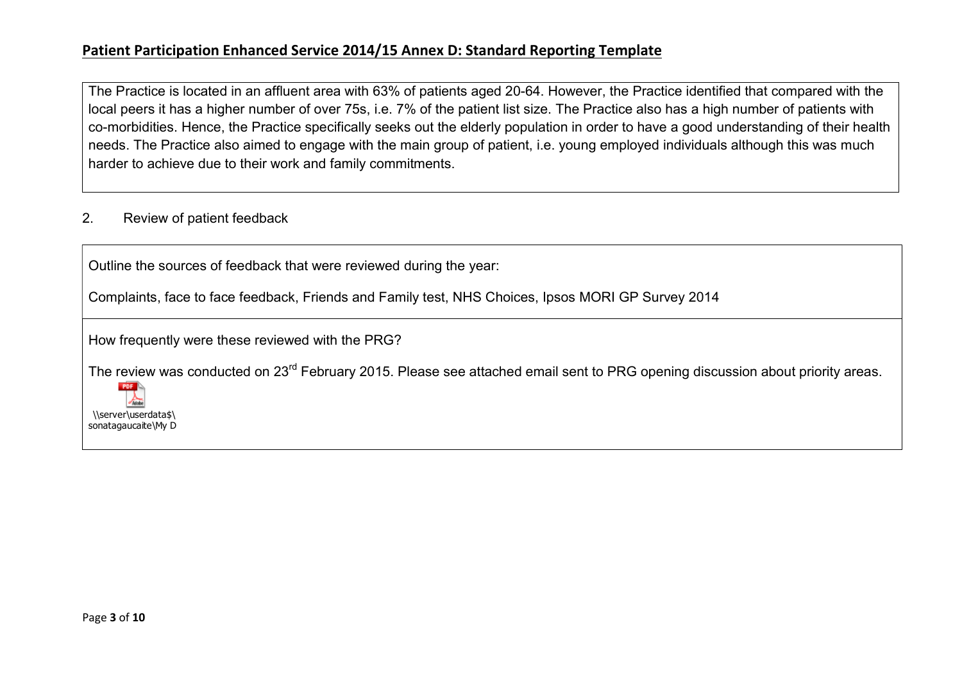The Practice is located in an affluent area with 63% of patients aged 20-64. However, the Practice identified that compared with the local peers it has a higher number of over 75s, i.e. 7% of the patient list size. The Practice also has a high number of patients with co-morbidities. Hence, the Practice specifically seeks out the elderly population in order to have a good understanding of their health needs. The Practice also aimed to engage with the main group of patient, i.e. young employed individuals although this was much harder to achieve due to their work and family commitments.

#### 2. Review of patient feedback

Outline the sources of feedback that were reviewed during the year:

Complaints, face to face feedback, Friends and Family test, NHS Choices, Ipsos MORI GP Survey 2014

How frequently were these reviewed with the PRG?

The review was conducted on 23<sup>rd</sup> February 2015. Please see attached email sent to PRG opening discussion about priority areas.

 $POF$ \\server\userdata\$\ sonatagaucaite\My D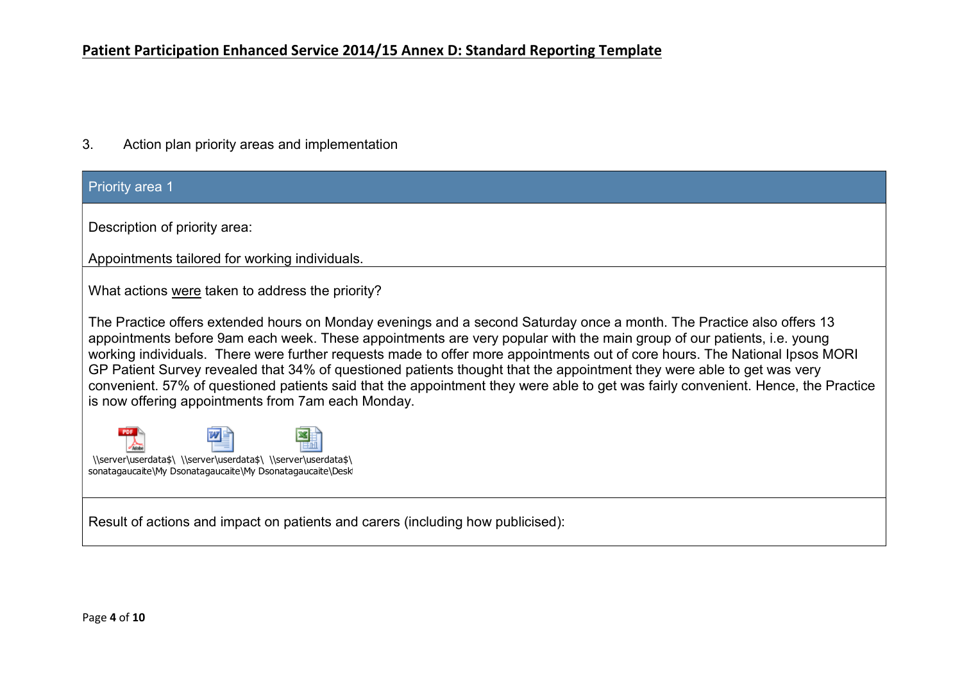3. Action plan priority areas and implementation

#### **Priority area 1**

Description of priority area:

Appointments tailored for working individuals.

What actions were taken to address the priority?

The Practice offers extended hours on Monday evenings and a second Saturday once a month. The Practice also offers 13 appointments before 9am each week. These appointments are very popular with the main group of our patients, i.e. young working individuals. There were further requests made to offer more appointments out of core hours. The National Ipsos MORI GP Patient Survey revealed that 34% of questioned patients thought that the appointment they were able to get was very convenient. 57% of questioned patients said that the appointment they were able to get was fairly convenient. Hence, the Practice is now offering appointments from 7am each Monday.



Result of actions and impact on patients and carers (including how publicised):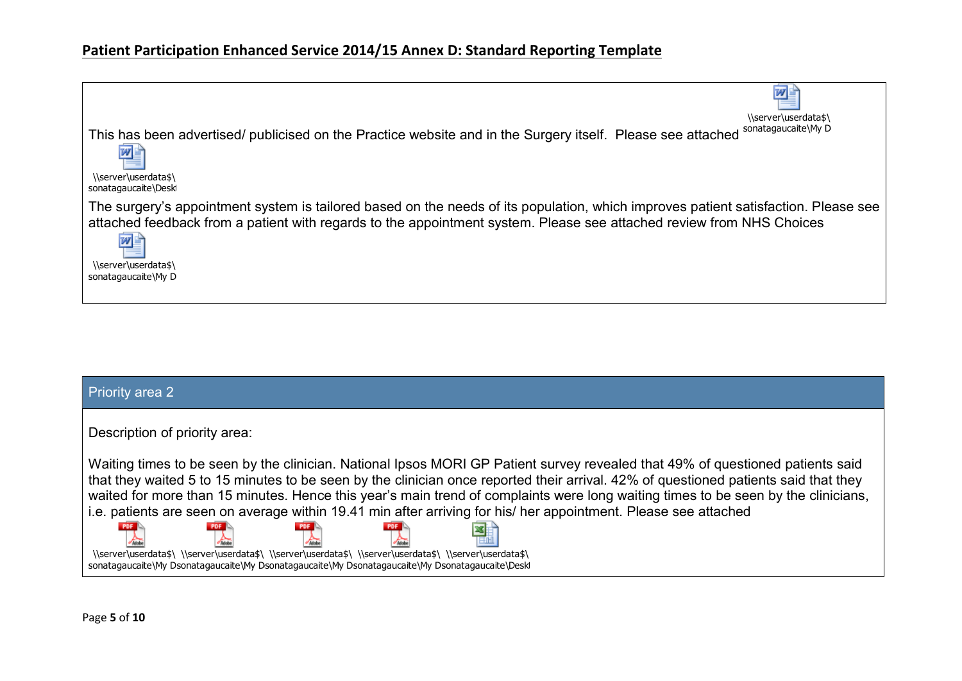| \\server\userdata\$\<br>sonatagaucaite\My D<br>This has been advertised/ publicised on the Practice website and in the Surgery itself. Please see attached<br>W<br>\\server\userdata\$\<br>sonatagaucaite\Desk<br>The surgery's appointment system is tailored based on the needs of its population, which improves patient satisfaction. Please see<br>attached feedback from a patient with regards to the appointment system. Please see attached review from NHS Choices<br>$\overline{w}$<br>\\server\userdata\$\<br>sonatagaucaite\My D |  |
|-----------------------------------------------------------------------------------------------------------------------------------------------------------------------------------------------------------------------------------------------------------------------------------------------------------------------------------------------------------------------------------------------------------------------------------------------------------------------------------------------------------------------------------------------|--|
|                                                                                                                                                                                                                                                                                                                                                                                                                                                                                                                                               |  |
|                                                                                                                                                                                                                                                                                                                                                                                                                                                                                                                                               |  |
|                                                                                                                                                                                                                                                                                                                                                                                                                                                                                                                                               |  |
|                                                                                                                                                                                                                                                                                                                                                                                                                                                                                                                                               |  |
|                                                                                                                                                                                                                                                                                                                                                                                                                                                                                                                                               |  |
|                                                                                                                                                                                                                                                                                                                                                                                                                                                                                                                                               |  |
|                                                                                                                                                                                                                                                                                                                                                                                                                                                                                                                                               |  |
|                                                                                                                                                                                                                                                                                                                                                                                                                                                                                                                                               |  |
|                                                                                                                                                                                                                                                                                                                                                                                                                                                                                                                                               |  |
|                                                                                                                                                                                                                                                                                                                                                                                                                                                                                                                                               |  |

| Priority area 2                                                                                                                                                                                                                                                                                                                                                                                                                                                                                                                                                                                                                                                                                                                               |
|-----------------------------------------------------------------------------------------------------------------------------------------------------------------------------------------------------------------------------------------------------------------------------------------------------------------------------------------------------------------------------------------------------------------------------------------------------------------------------------------------------------------------------------------------------------------------------------------------------------------------------------------------------------------------------------------------------------------------------------------------|
| Description of priority area:                                                                                                                                                                                                                                                                                                                                                                                                                                                                                                                                                                                                                                                                                                                 |
| Waiting times to be seen by the clinician. National Ipsos MORI GP Patient survey revealed that 49% of questioned patients said<br>that they waited 5 to 15 minutes to be seen by the clinician once reported their arrival. 42% of questioned patients said that they<br>waited for more than 15 minutes. Hence this year's main trend of complaints were long waiting times to be seen by the clinicians,<br>i.e. patients are seen on average within 19.41 min after arriving for his/ her appointment. Please see attached<br>\\server\userdata\$\\\\server\userdata\$\\\server\userdata\$\\\server\userdata\$\\\server\userdata\$\\\\$<br>sonatagaucaite\My Dsonatagaucaite\My Dsonatagaucaite\My Dsonatagaucaite\My Dsonatagaucaite\Desk |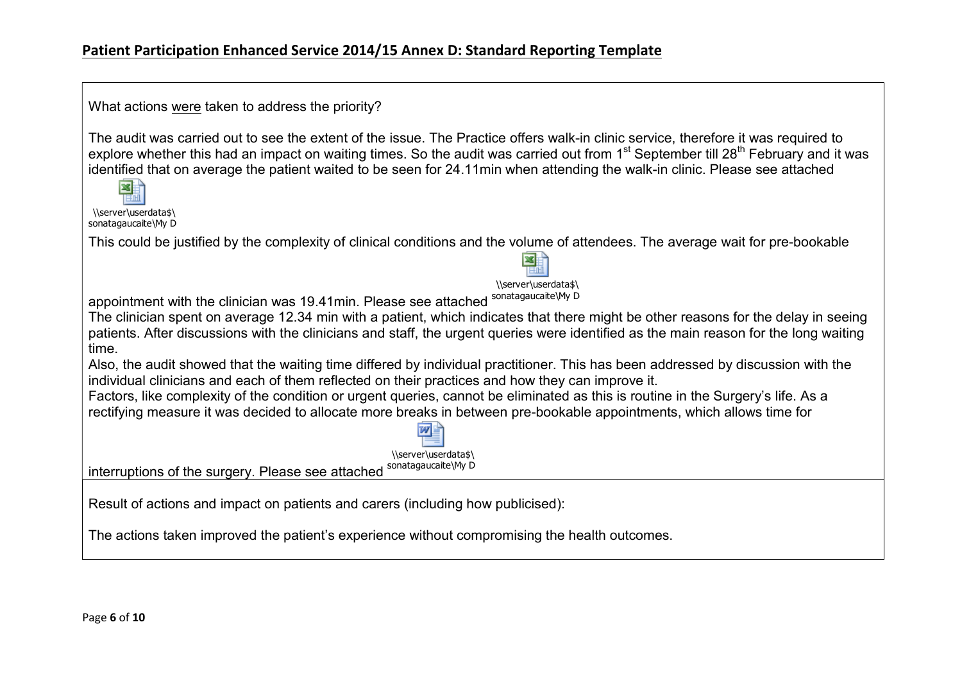| What actions were taken to address the priority?                                                                                                                                                                                                                                                                                                                                                                                                         |  |
|----------------------------------------------------------------------------------------------------------------------------------------------------------------------------------------------------------------------------------------------------------------------------------------------------------------------------------------------------------------------------------------------------------------------------------------------------------|--|
| The audit was carried out to see the extent of the issue. The Practice offers walk-in clinic service, therefore it was required to<br>explore whether this had an impact on waiting times. So the audit was carried out from 1 <sup>st</sup> September till 28 <sup>th</sup> February and it was<br>identified that on average the patient waited to be seen for 24.11min when attending the walk-in clinic. Please see attached<br>\\server\userdata\$\ |  |
| sonatagaucaite\My D                                                                                                                                                                                                                                                                                                                                                                                                                                      |  |
| This could be justified by the complexity of clinical conditions and the volume of attendees. The average wait for pre-bookable<br>\\server\userdata\$\                                                                                                                                                                                                                                                                                                  |  |
| appointment with the clinician was 19.41min. Please see attached sonatagaucaite\My D                                                                                                                                                                                                                                                                                                                                                                     |  |
|                                                                                                                                                                                                                                                                                                                                                                                                                                                          |  |
| The clinician spent on average 12.34 min with a patient, which indicates that there might be other reasons for the delay in seeing<br>patients. After discussions with the clinicians and staff, the urgent queries were identified as the main reason for the long waiting<br>time.                                                                                                                                                                     |  |
| Also, the audit showed that the waiting time differed by individual practitioner. This has been addressed by discussion with the<br>individual clinicians and each of them reflected on their practices and how they can improve it.                                                                                                                                                                                                                     |  |
| Factors, like complexity of the condition or urgent queries, cannot be eliminated as this is routine in the Surgery's life. As a                                                                                                                                                                                                                                                                                                                         |  |
| rectifying measure it was decided to allocate more breaks in between pre-bookable appointments, which allows time for<br>\\server\userdata\$\                                                                                                                                                                                                                                                                                                            |  |
| sonatagaucaite\My D<br>interruptions of the surgery. Please see attached                                                                                                                                                                                                                                                                                                                                                                                 |  |
|                                                                                                                                                                                                                                                                                                                                                                                                                                                          |  |
| Result of actions and impact on patients and carers (including how publicised):                                                                                                                                                                                                                                                                                                                                                                          |  |
| The actions taken improved the patient's experience without compromising the health outcomes.                                                                                                                                                                                                                                                                                                                                                            |  |

ㄱ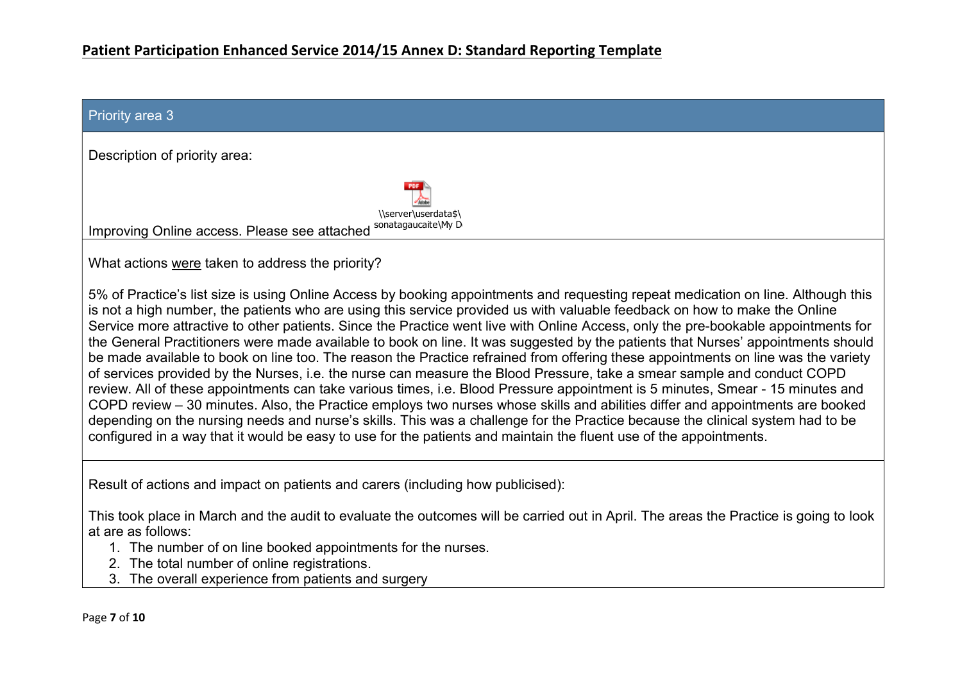| <b>Priority area 3</b>                                                                                                                                                                                                                                                                                                                                                                                                                                                                                                                                                                                                                                                                                                                                                                                                                                                                                                                                                                                                                                                                                                                                                                                                                                                                                                               |
|--------------------------------------------------------------------------------------------------------------------------------------------------------------------------------------------------------------------------------------------------------------------------------------------------------------------------------------------------------------------------------------------------------------------------------------------------------------------------------------------------------------------------------------------------------------------------------------------------------------------------------------------------------------------------------------------------------------------------------------------------------------------------------------------------------------------------------------------------------------------------------------------------------------------------------------------------------------------------------------------------------------------------------------------------------------------------------------------------------------------------------------------------------------------------------------------------------------------------------------------------------------------------------------------------------------------------------------|
| Description of priority area:                                                                                                                                                                                                                                                                                                                                                                                                                                                                                                                                                                                                                                                                                                                                                                                                                                                                                                                                                                                                                                                                                                                                                                                                                                                                                                        |
| \\server\userdata\$\<br>sonatagaucaite\My D<br>Improving Online access. Please see attached                                                                                                                                                                                                                                                                                                                                                                                                                                                                                                                                                                                                                                                                                                                                                                                                                                                                                                                                                                                                                                                                                                                                                                                                                                          |
| What actions were taken to address the priority?                                                                                                                                                                                                                                                                                                                                                                                                                                                                                                                                                                                                                                                                                                                                                                                                                                                                                                                                                                                                                                                                                                                                                                                                                                                                                     |
| 5% of Practice's list size is using Online Access by booking appointments and requesting repeat medication on line. Although this<br>is not a high number, the patients who are using this service provided us with valuable feedback on how to make the Online<br>Service more attractive to other patients. Since the Practice went live with Online Access, only the pre-bookable appointments for<br>the General Practitioners were made available to book on line. It was suggested by the patients that Nurses' appointments should<br>be made available to book on line too. The reason the Practice refrained from offering these appointments on line was the variety<br>of services provided by the Nurses, i.e. the nurse can measure the Blood Pressure, take a smear sample and conduct COPD<br>review. All of these appointments can take various times, i.e. Blood Pressure appointment is 5 minutes, Smear - 15 minutes and<br>COPD review – 30 minutes. Also, the Practice employs two nurses whose skills and abilities differ and appointments are booked<br>depending on the nursing needs and nurse's skills. This was a challenge for the Practice because the clinical system had to be<br>configured in a way that it would be easy to use for the patients and maintain the fluent use of the appointments. |
| Result of actions and impact on patients and carers (including how publicised):                                                                                                                                                                                                                                                                                                                                                                                                                                                                                                                                                                                                                                                                                                                                                                                                                                                                                                                                                                                                                                                                                                                                                                                                                                                      |
| This took place in March and the audit to evaluate the outcomes will be carried out in April. The areas the Practice is going to look<br>at are as follows:<br>1. The number of on line booked appointments for the nurses.<br>2. The total number of online registrations.<br>3. The overall experience from patients and surgery                                                                                                                                                                                                                                                                                                                                                                                                                                                                                                                                                                                                                                                                                                                                                                                                                                                                                                                                                                                                   |
| Page 7 of 10                                                                                                                                                                                                                                                                                                                                                                                                                                                                                                                                                                                                                                                                                                                                                                                                                                                                                                                                                                                                                                                                                                                                                                                                                                                                                                                         |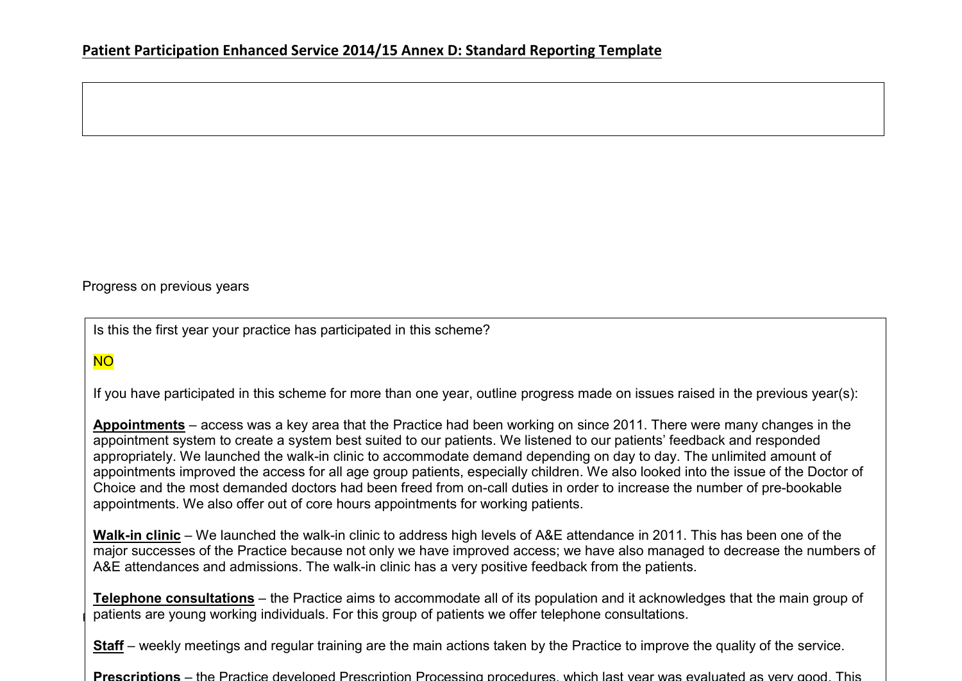Progress on previous years

Is this the first year your practice has participated in this scheme?

# NO

If you have participated in this scheme for more than one year, outline progress made on issues raised in the previous year(s):

Appointments – access was a key area that the Practice had been working on since 2011. There were many changes in the appointment system to create a system best suited to our patients. We listened to our patients' feedback and responded appropriately. We launched the walk-in clinic to accommodate demand depending on day to day. The unlimited amount of appointments improved the access for all age group patients, especially children. We also looked into the issue of the Doctor of Choice and the most demanded doctors had been freed from on-call duties in order to increase the number of pre-bookable appointments. We also offer out of core hours appointments for working patients.

Walk-in clinic – We launched the walk-in clinic to address high levels of A&E attendance in 2011. This has been one of the major successes of the Practice because not only we have improved access; we have also managed to decrease the numbers of A&E attendances and admissions. The walk-in clinic has a very positive feedback from the patients.

patients are young working individuals. For this group of patients we offer telephone consultations. Telephone consultations – the Practice aims to accommodate all of its population and it acknowledges that the main group of

Staff – weekly meetings and regular training are the main actions taken by the Practice to improve the quality of the service.

Prescriptions – the Practice developed Prescription Processing procedures, which last year was evaluated as very good. This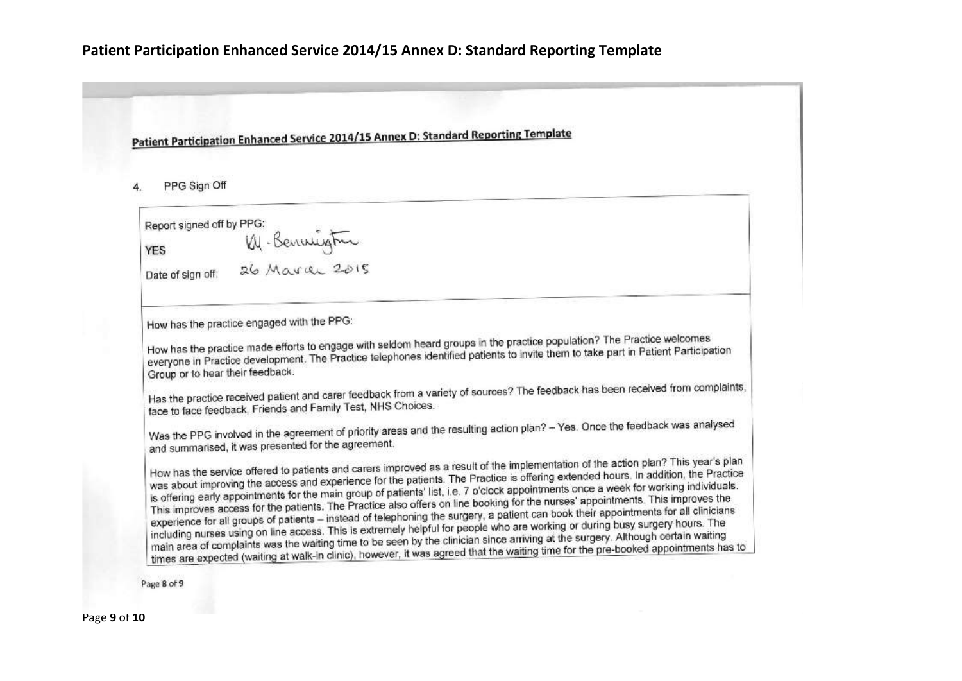Patient Participation Enhanced Service 2014/15 Annex D: Standard Reporting Template

PPG Sign Off 4.

Report signed off by PPG: YES W. - Bennington<br>Date of sign off: 26 March 2015

How has the practice engaged with the PPG:

How has the practice made efforts to engage with seldom heard groups in the practice population? The Practice welcomes How has the practice made efforts to engage with seldom heard groups in the practice population. The Platies means everyone in Practice development. The Practice telephones identified patients to invite them to take part i Group or to hear their feedback.

Has the practice received patient and carer feedback from a variety of sources? The feedback has been received from complaints, Has the practice received patient and start Test, NHS Choices.

Was the PPG involved in the agreement of priority areas and the resulting action plan? - Yes. Once the feedback was analysed and summarised, it was presented for the agreement.

How has the service offered to patients and carers improved as a result of the implementation of the action plan? This year's plan How has the service offered to patients and carers improved as a result of the implementation of the action path.<br>was about improving the access and experience for the patients. The Practice is offering extended hours, In was about improving the access and experience for the patients. The Practice is offering exercice health for working individuals.<br>is offering early appointments for the main group of patients' list, i.e. 7 o'clock appointm is offering early appointments for the main group of patients' list, i.e. r o clock appointments once a week for the main group<br>This improves access for the patients. The Practice also offers on line booking for the nurses This improves access for the patients. The Practice also offers on the booking for the hurses appointments. The<br>experience for all groups of patients – instead of telephoning the surgery, a patient can book their appointme experience for all groups of patients – instead of telephoning the surgery, a patient can book their appointments for the including nurses using on line access. This is extremely helpful for people who are working or durin including nurses using on line access. This is extremely helpful for people who are working of during busy sarger).<br>main area of complaints was the waiting time to be seen by the clinician since arriving at the surgery. Al main area of complaints was the waiting time to be seen by the clinician since aniwing at the surgery. Although behand hands

Page 8 of 9

Page 9 of 10